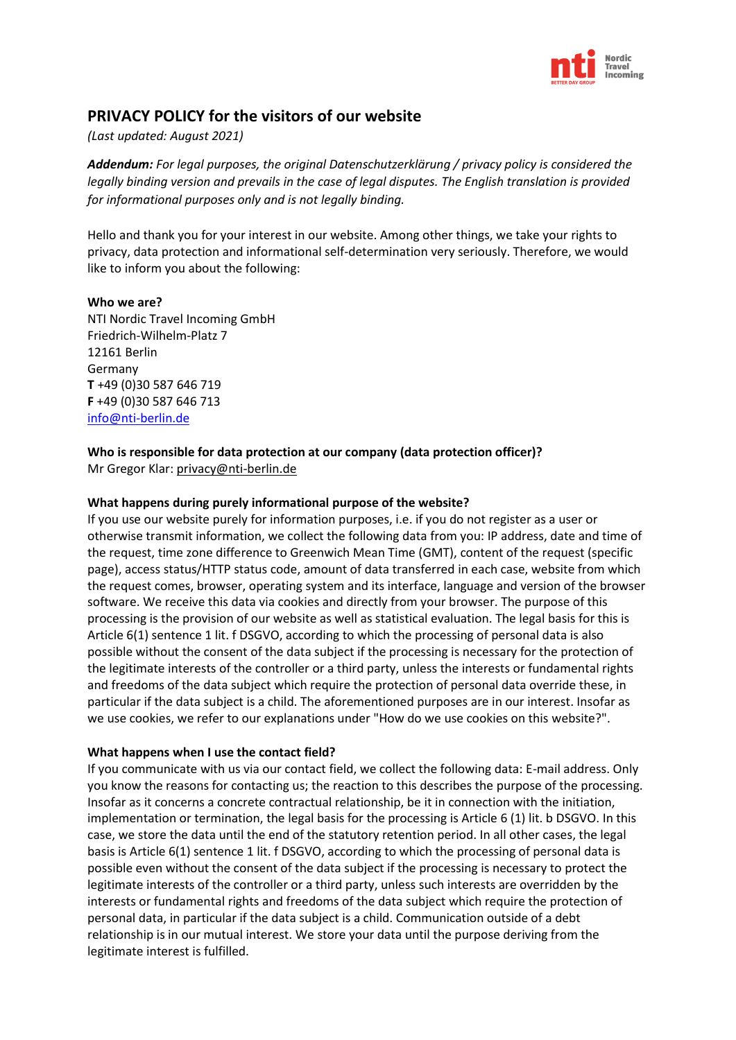

# **PRIVACY POLICY for the visitors of our website**

#### *(Last updated: August 2021)*

*Addendum: For legal purposes, the original Datenschutzerklärung / privacy policy is considered the legally binding version and prevails in the case of legal disputes. The English translation is provided for informational purposes only and is not legally binding.* 

Hello and thank you for your interest in our website. Among other things, we take your rights to privacy, data protection and informational self-determination very seriously. Therefore, we would like to inform you about the following:

#### **Who we are?**

NTI Nordic Travel Incoming GmbH Friedrich-Wilhelm-Platz 7 12161 Berlin Germany **T** +49 (0)30 587 646 719 **F** +49 (0)30 587 646 713 [info@nti-berlin.de](mailto:info@nti-berlin.de)

# **Who is responsible for data protection at our company (data protection officer)?**

Mr Gregor Klar: privacy@nti-berlin.de

#### **What happens during purely informational purpose of the website?**

If you use our website purely for information purposes, i.e. if you do not register as a user or otherwise transmit information, we collect the following data from you: IP address, date and time of the request, time zone difference to Greenwich Mean Time (GMT), content of the request (specific page), access status/HTTP status code, amount of data transferred in each case, website from which the request comes, browser, operating system and its interface, language and version of the browser software. We receive this data via cookies and directly from your browser. The purpose of this processing is the provision of our website as well as statistical evaluation. The legal basis for this is Article 6(1) sentence 1 lit. f DSGVO, according to which the processing of personal data is also possible without the consent of the data subject if the processing is necessary for the protection of the legitimate interests of the controller or a third party, unless the interests or fundamental rights and freedoms of the data subject which require the protection of personal data override these, in particular if the data subject is a child. The aforementioned purposes are in our interest. Insofar as we use cookies, we refer to our explanations under "How do we use cookies on this website?".

#### **What happens when I use the contact field?**

If you communicate with us via our contact field, we collect the following data: E-mail address. Only you know the reasons for contacting us; the reaction to this describes the purpose of the processing. Insofar as it concerns a concrete contractual relationship, be it in connection with the initiation, implementation or termination, the legal basis for the processing is Article 6 (1) lit. b DSGVO. In this case, we store the data until the end of the statutory retention period. In all other cases, the legal basis is Article 6(1) sentence 1 lit. f DSGVO, according to which the processing of personal data is possible even without the consent of the data subject if the processing is necessary to protect the legitimate interests of the controller or a third party, unless such interests are overridden by the interests or fundamental rights and freedoms of the data subject which require the protection of personal data, in particular if the data subject is a child. Communication outside of a debt relationship is in our mutual interest. We store your data until the purpose deriving from the legitimate interest is fulfilled.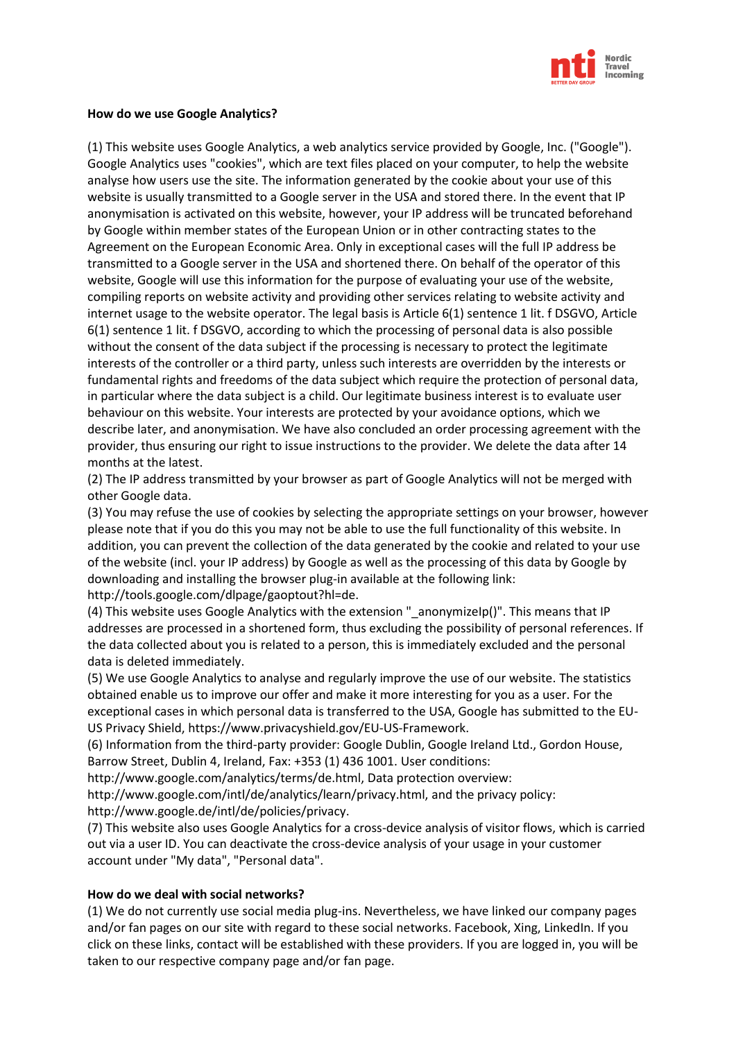

#### **How do we use Google Analytics?**

(1) This website uses Google Analytics, a web analytics service provided by Google, Inc. ("Google"). Google Analytics uses "cookies", which are text files placed on your computer, to help the website analyse how users use the site. The information generated by the cookie about your use of this website is usually transmitted to a Google server in the USA and stored there. In the event that IP anonymisation is activated on this website, however, your IP address will be truncated beforehand by Google within member states of the European Union or in other contracting states to the Agreement on the European Economic Area. Only in exceptional cases will the full IP address be transmitted to a Google server in the USA and shortened there. On behalf of the operator of this website, Google will use this information for the purpose of evaluating your use of the website, compiling reports on website activity and providing other services relating to website activity and internet usage to the website operator. The legal basis is Article 6(1) sentence 1 lit. f DSGVO, Article 6(1) sentence 1 lit. f DSGVO, according to which the processing of personal data is also possible without the consent of the data subject if the processing is necessary to protect the legitimate interests of the controller or a third party, unless such interests are overridden by the interests or fundamental rights and freedoms of the data subject which require the protection of personal data, in particular where the data subject is a child. Our legitimate business interest is to evaluate user behaviour on this website. Your interests are protected by your avoidance options, which we describe later, and anonymisation. We have also concluded an order processing agreement with the provider, thus ensuring our right to issue instructions to the provider. We delete the data after 14 months at the latest.

(2) The IP address transmitted by your browser as part of Google Analytics will not be merged with other Google data.

(3) You may refuse the use of cookies by selecting the appropriate settings on your browser, however please note that if you do this you may not be able to use the full functionality of this website. In addition, you can prevent the collection of the data generated by the cookie and related to your use of the website (incl. your IP address) by Google as well as the processing of this data by Google by downloading and installing the browser plug-in available at the following link: http://tools.google.com/dlpage/gaoptout?hl=de.

(4) This website uses Google Analytics with the extension "\_anonymizeIp()". This means that IP addresses are processed in a shortened form, thus excluding the possibility of personal references. If the data collected about you is related to a person, this is immediately excluded and the personal data is deleted immediately.

(5) We use Google Analytics to analyse and regularly improve the use of our website. The statistics obtained enable us to improve our offer and make it more interesting for you as a user. For the exceptional cases in which personal data is transferred to the USA, Google has submitted to the EU-US Privacy Shield, https://www.privacyshield.gov/EU-US-Framework.

(6) Information from the third-party provider: Google Dublin, Google Ireland Ltd., Gordon House, Barrow Street, Dublin 4, Ireland, Fax: +353 (1) 436 1001. User conditions:

http://www.google.com/analytics/terms/de.html, Data protection overview:

http://www.google.com/intl/de/analytics/learn/privacy.html, and the privacy policy: http://www.google.de/intl/de/policies/privacy.

(7) This website also uses Google Analytics for a cross-device analysis of visitor flows, which is carried out via a user ID. You can deactivate the cross-device analysis of your usage in your customer account under "My data", "Personal data".

#### **How do we deal with social networks?**

(1) We do not currently use social media plug-ins. Nevertheless, we have linked our company pages and/or fan pages on our site with regard to these social networks. Facebook, Xing, LinkedIn. If you click on these links, contact will be established with these providers. If you are logged in, you will be taken to our respective company page and/or fan page.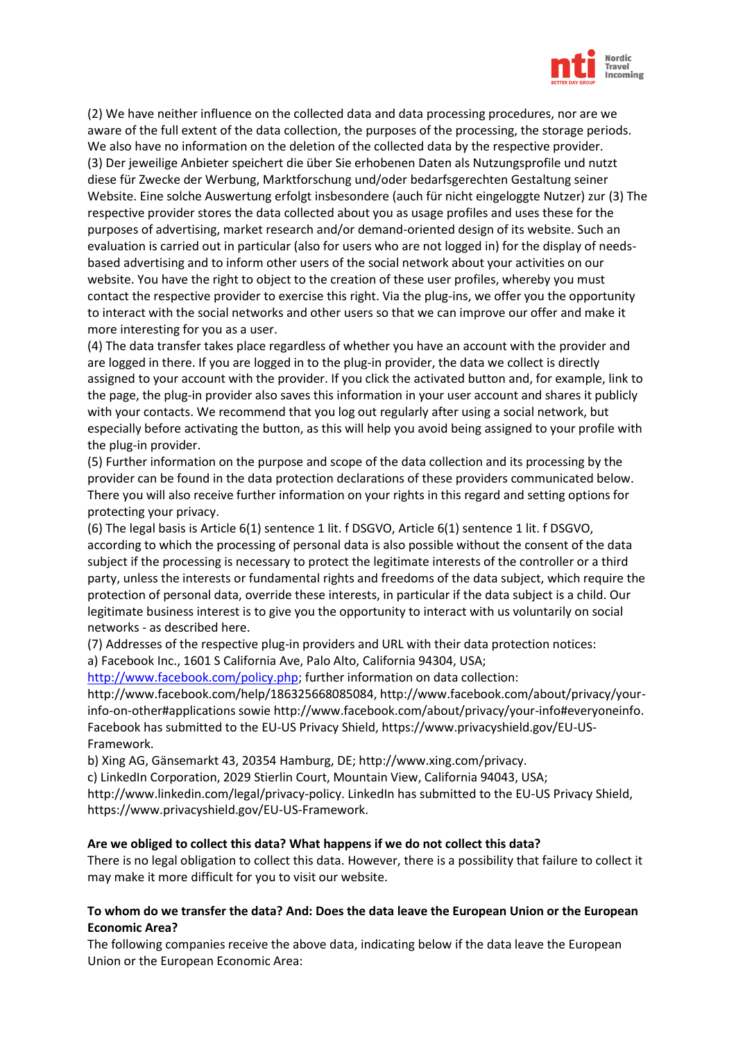

(2) We have neither influence on the collected data and data processing procedures, nor are we aware of the full extent of the data collection, the purposes of the processing, the storage periods. We also have no information on the deletion of the collected data by the respective provider. (3) Der jeweilige Anbieter speichert die über Sie erhobenen Daten als Nutzungsprofile und nutzt diese für Zwecke der Werbung, Marktforschung und/oder bedarfsgerechten Gestaltung seiner Website. Eine solche Auswertung erfolgt insbesondere (auch für nicht eingeloggte Nutzer) zur (3) The respective provider stores the data collected about you as usage profiles and uses these for the purposes of advertising, market research and/or demand-oriented design of its website. Such an evaluation is carried out in particular (also for users who are not logged in) for the display of needsbased advertising and to inform other users of the social network about your activities on our website. You have the right to object to the creation of these user profiles, whereby you must contact the respective provider to exercise this right. Via the plug-ins, we offer you the opportunity to interact with the social networks and other users so that we can improve our offer and make it more interesting for you as a user.

(4) The data transfer takes place regardless of whether you have an account with the provider and are logged in there. If you are logged in to the plug-in provider, the data we collect is directly assigned to your account with the provider. If you click the activated button and, for example, link to the page, the plug-in provider also saves this information in your user account and shares it publicly with your contacts. We recommend that you log out regularly after using a social network, but especially before activating the button, as this will help you avoid being assigned to your profile with the plug-in provider.

(5) Further information on the purpose and scope of the data collection and its processing by the provider can be found in the data protection declarations of these providers communicated below. There you will also receive further information on your rights in this regard and setting options for protecting your privacy.

(6) The legal basis is Article 6(1) sentence 1 lit. f DSGVO, Article 6(1) sentence 1 lit. f DSGVO, according to which the processing of personal data is also possible without the consent of the data subject if the processing is necessary to protect the legitimate interests of the controller or a third party, unless the interests or fundamental rights and freedoms of the data subject, which require the protection of personal data, override these interests, in particular if the data subject is a child. Our legitimate business interest is to give you the opportunity to interact with us voluntarily on social networks - as described here.

(7) Addresses of the respective plug-in providers and URL with their data protection notices: a) Facebook Inc., 1601 S California Ave, Palo Alto, California 94304, USA;

[http://www.facebook.com/policy.php;](http://www.facebook.com/policy.php) further information on data collection:

http://www.facebook.com/help/186325668085084, http://www.facebook.com/about/privacy/yourinfo-on-other#applications sowie http://www.facebook.com/about/privacy/your-info#everyoneinfo. Facebook has submitted to the EU-US Privacy Shield, https://www.privacyshield.gov/EU-US-Framework.

b) Xing AG, Gänsemarkt 43, 20354 Hamburg, DE; http://www.xing.com/privacy.

c) LinkedIn Corporation, 2029 Stierlin Court, Mountain View, California 94043, USA;

http://www.linkedin.com/legal/privacy-policy. LinkedIn has submitted to the EU-US Privacy Shield, https://www.privacyshield.gov/EU-US-Framework.

#### **Are we obliged to collect this data? What happens if we do not collect this data?**

There is no legal obligation to collect this data. However, there is a possibility that failure to collect it may make it more difficult for you to visit our website.

# **To whom do we transfer the data? And: Does the data leave the European Union or the European Economic Area?**

The following companies receive the above data, indicating below if the data leave the European Union or the European Economic Area: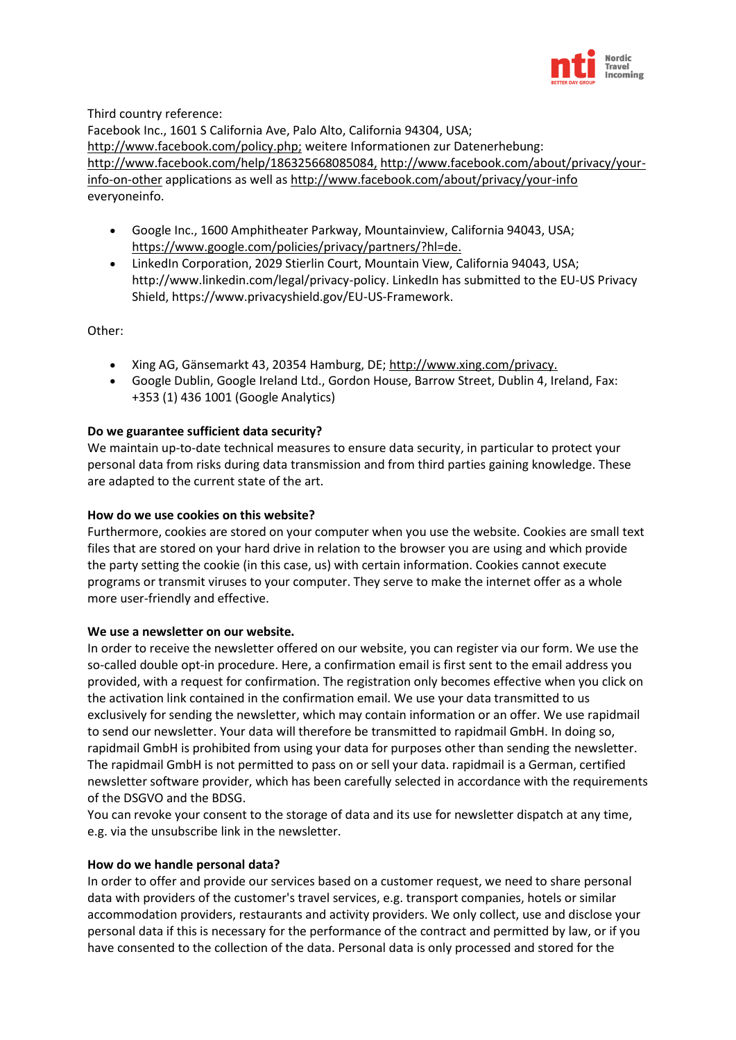

Third country reference:

Facebook Inc., 1601 S California Ave, Palo Alto, California 94304, USA; <http://www.facebook.com/policy.php;> weitere Informationen zur Datenerhebung: <http://www.facebook.com/help/186325668085084,> [http://www.facebook.com/about/privacy/your](http://www.facebook.com/about/privacy/your-info-on-other)[info-on-other](http://www.facebook.com/about/privacy/your-info-on-other) applications as well as <http://www.facebook.com/about/privacy/your-info> everyoneinfo.

- Google Inc., 1600 Amphitheater Parkway, Mountainview, California 94043, USA; <https://www.google.com/policies/privacy/partners/?hl=de.>
- LinkedIn Corporation, 2029 Stierlin Court, Mountain View, California 94043, USA; http://www.linkedin.com/legal/privacy-policy. LinkedIn has submitted to the EU-US Privacy Shield, https://www.privacyshield.gov/EU-US-Framework.

Other:

- Xing AG, Gänsemarkt 43, 20354 Hamburg, DE;<http://www.xing.com/privacy.>
- Google Dublin, Google Ireland Ltd., Gordon House, Barrow Street, Dublin 4, Ireland, Fax: +353 (1) 436 1001 (Google Analytics)

# **Do we guarantee sufficient data security?**

We maintain up-to-date technical measures to ensure data security, in particular to protect your personal data from risks during data transmission and from third parties gaining knowledge. These are adapted to the current state of the art.

# **How do we use cookies on this website?**

Furthermore, cookies are stored on your computer when you use the website. Cookies are small text files that are stored on your hard drive in relation to the browser you are using and which provide the party setting the cookie (in this case, us) with certain information. Cookies cannot execute programs or transmit viruses to your computer. They serve to make the internet offer as a whole more user-friendly and effective.

#### **We use a newsletter on our website.**

In order to receive the newsletter offered on our website, you can register via our form. We use the so-called double opt-in procedure. Here, a confirmation email is first sent to the email address you provided, with a request for confirmation. The registration only becomes effective when you click on the activation link contained in the confirmation email. We use your data transmitted to us exclusively for sending the newsletter, which may contain information or an offer. We use rapidmail to send our newsletter. Your data will therefore be transmitted to rapidmail GmbH. In doing so, rapidmail GmbH is prohibited from using your data for purposes other than sending the newsletter. The rapidmail GmbH is not permitted to pass on or sell your data. rapidmail is a German, certified newsletter software provider, which has been carefully selected in accordance with the requirements of the DSGVO and the BDSG.

You can revoke your consent to the storage of data and its use for newsletter dispatch at any time, e.g. via the unsubscribe link in the newsletter.

#### **How do we handle personal data?**

In order to offer and provide our services based on a customer request, we need to share personal data with providers of the customer's travel services, e.g. transport companies, hotels or similar accommodation providers, restaurants and activity providers. We only collect, use and disclose your personal data if this is necessary for the performance of the contract and permitted by law, or if you have consented to the collection of the data. Personal data is only processed and stored for the